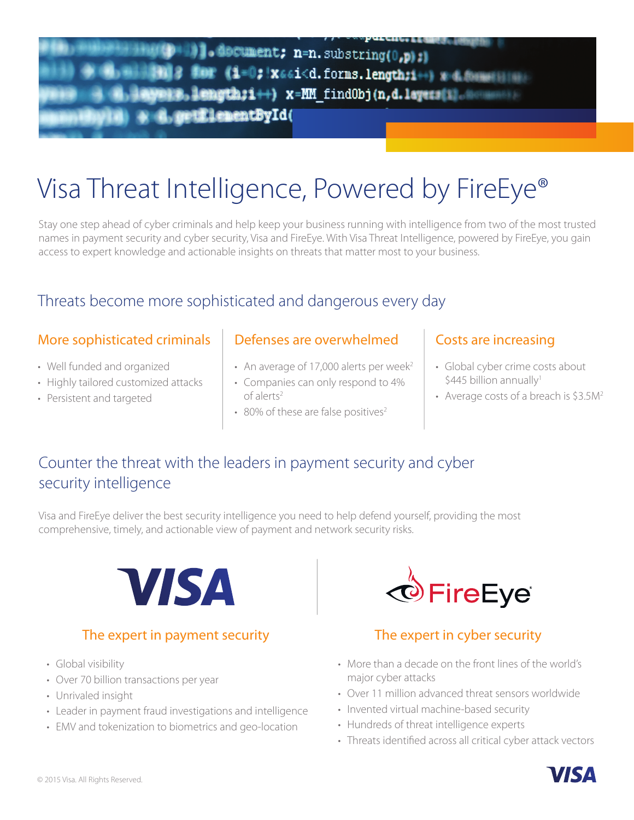# )].document; n=n.substring(0,p);) for (1=0; x66i<d.forms.length;i++) well length;i++) x=MM findObj(n,d.layers[i].0 **GradulementById(**

# Visa Threat Intelligence, Powered by FireEye®

Stay one step ahead of cyber criminals and help keep your business running with intelligence from two of the most trusted names in payment security and cyber security, Visa and FireEye. With Visa Threat Intelligence, powered by FireEye, you gain access to expert knowledge and actionable insights on threats that matter most to your business.

# Threats become more sophisticated and dangerous every day

### More sophisticated criminals

- Well funded and organized
- Highly tailored customized attacks
- Persistent and targeted

### Defenses are overwhelmed | Costs are increasing

- An average of 17,000 alerts per week<sup>2</sup>
- Companies can only respond to 4% of alerts2
- $\cdot$  80% of these are false positives<sup>2</sup>

- Global cyber crime costs about  $$445$  billion annually<sup>1</sup>
- Average costs of a breach is \$3.5M<sup>2</sup>

# Counter the threat with the leaders in payment security and cyber security intelligence

Visa and FireEye deliver the best security intelligence you need to help defend yourself, providing the most comprehensive, timely, and actionable view of payment and network security risks.



### The expert in payment security The expert in cyber security

- Global visibility
- Over 70 billion transactions per year
- Unrivaled insight
- Leader in payment fraud investigations and intelligence
- EMV and tokenization to biometrics and geo-location



- More than a decade on the front lines of the world's major cyber attacks
- Over 11 million advanced threat sensors worldwide
- Invented virtual machine-based security
- Hundreds of threat intelligence experts
- Threats identified across all critical cyber attack vectors